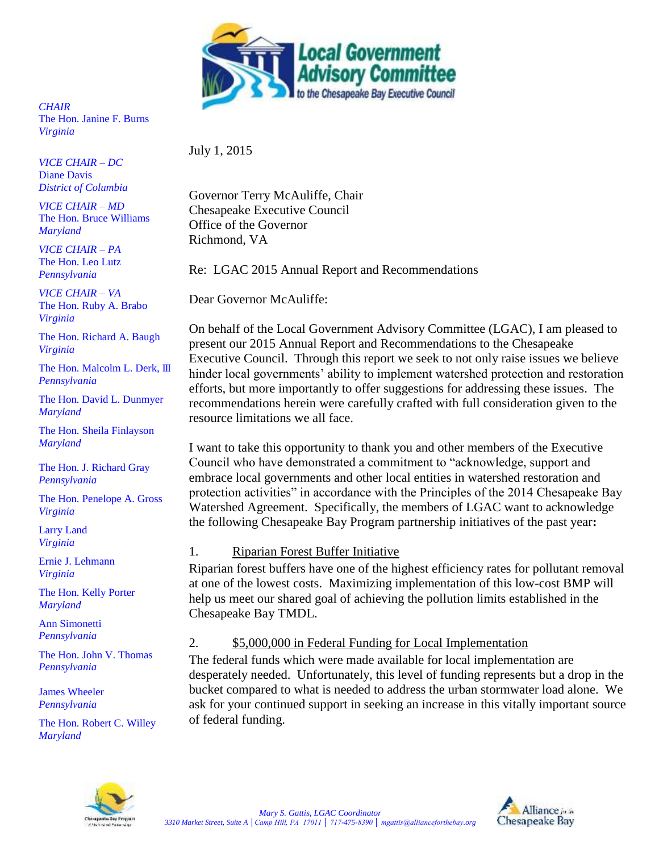

*CHAIR* The Hon. Janine F. Burns *Virginia*

*VICE CHAIR – DC* Diane Davis *District of Columbia* 

*VICE CHAIR – MD* The Hon. Bruce Williams *Maryland*

*VICE CHAIR – PA* The Hon. Leo Lutz *Pennsylvania*

*VICE CHAIR – VA* The Hon. Ruby A. Brabo *Virginia*

The Hon. Richard A. Baugh *Virginia*

The Hon. Malcolm L. Derk, III *Pennsylvania*

The Hon. David L. Dunmyer *Maryland*

The Hon. Sheila Finlayson *Maryland*

The Hon. J. Richard Gray *Pennsylvania*

The Hon. Penelope A. Gross *Virginia*

Larry Land *Virginia*

Ernie J. Lehmann *Virginia*

The Hon. Kelly Porter *Maryland*

Ann Simonetti *Pennsylvania*

The Hon. John V. Thomas *Pennsylvania*

James Wheeler *Pennsylvania* 

The Hon. Robert C. Willey *Maryland*

July 1, 2015

Governor Terry McAuliffe, Chair Chesapeake Executive Council Office of the Governor Richmond, VA

Re: LGAC 2015 Annual Report and Recommendations

Dear Governor McAuliffe:

On behalf of the Local Government Advisory Committee (LGAC), I am pleased to present our 2015 Annual Report and Recommendations to the Chesapeake Executive Council. Through this report we seek to not only raise issues we believe hinder local governments' ability to implement watershed protection and restoration efforts, but more importantly to offer suggestions for addressing these issues. The recommendations herein were carefully crafted with full consideration given to the resource limitations we all face.

I want to take this opportunity to thank you and other members of the Executive Council who have demonstrated a commitment to "acknowledge, support and embrace local governments and other local entities in watershed restoration and protection activities" in accordance with the Principles of the 2014 Chesapeake Bay Watershed Agreement. Specifically, the members of LGAC want to acknowledge the following Chesapeake Bay Program partnership initiatives of the past year**:**

# 1. Riparian Forest Buffer Initiative

Riparian forest buffers have one of the highest efficiency rates for pollutant removal at one of the lowest costs. Maximizing implementation of this low-cost BMP will help us meet our shared goal of achieving the pollution limits established in the Chesapeake Bay TMDL.

# 2. \$5,000,000 in Federal Funding for Local Implementation

The federal funds which were made available for local implementation are desperately needed. Unfortunately, this level of funding represents but a drop in the bucket compared to what is needed to address the urban stormwater load alone. We ask for your continued support in seeking an increase in this vitally important source of federal funding.



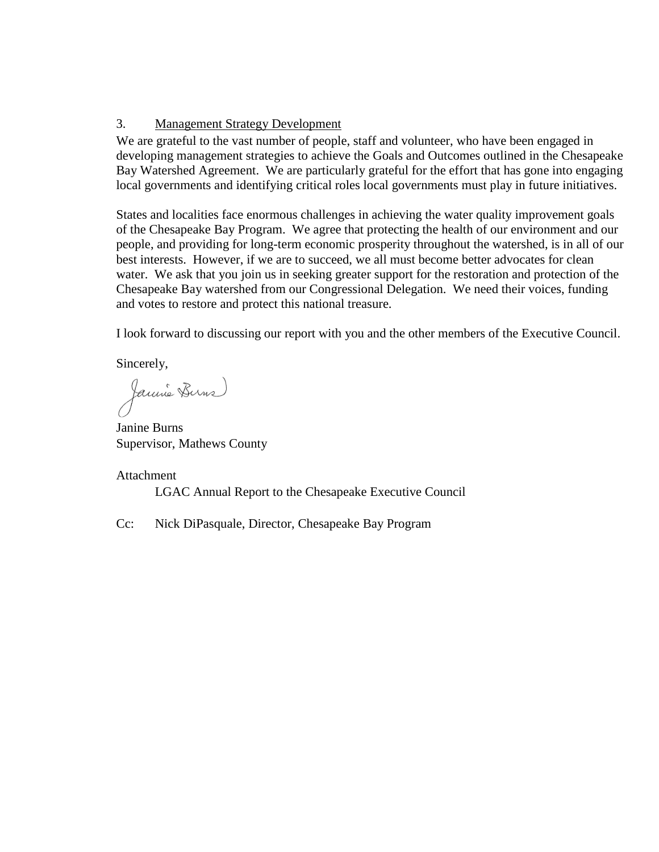### 3. Management Strategy Development

We are grateful to the vast number of people, staff and volunteer, who have been engaged in developing management strategies to achieve the Goals and Outcomes outlined in the Chesapeake Bay Watershed Agreement. We are particularly grateful for the effort that has gone into engaging local governments and identifying critical roles local governments must play in future initiatives.

States and localities face enormous challenges in achieving the water quality improvement goals of the Chesapeake Bay Program. We agree that protecting the health of our environment and our people, and providing for long-term economic prosperity throughout the watershed, is in all of our best interests. However, if we are to succeed, we all must become better advocates for clean water. We ask that you join us in seeking greater support for the restoration and protection of the Chesapeake Bay watershed from our Congressional Delegation. We need their voices, funding and votes to restore and protect this national treasure.

I look forward to discussing our report with you and the other members of the Executive Council.

Sincerely,

Jannie Burns

Janine Burns Supervisor, Mathews County

### Attachment

LGAC Annual Report to the Chesapeake Executive Council

Cc: Nick DiPasquale, Director, Chesapeake Bay Program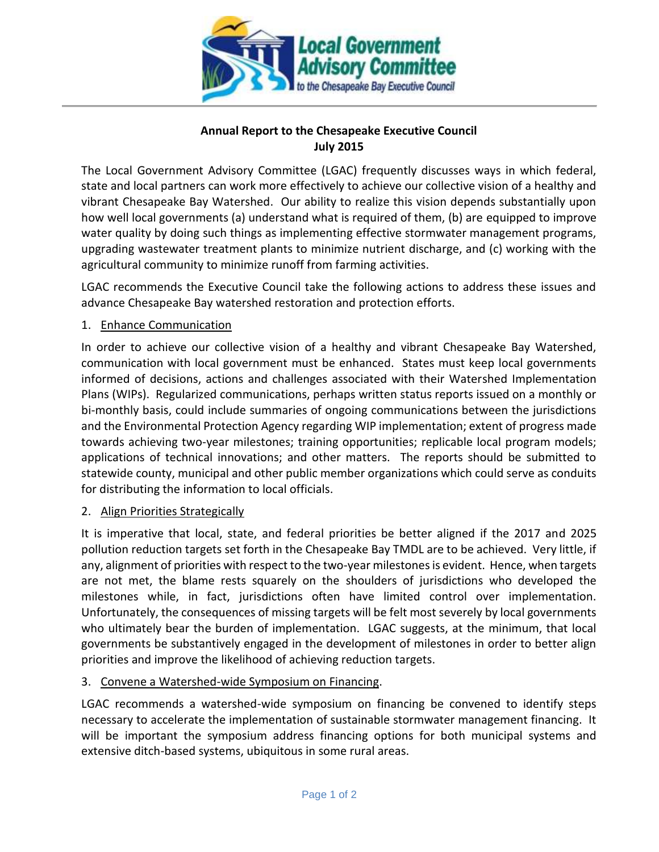

# **Annual Report to the Chesapeake Executive Council July 2015**

The Local Government Advisory Committee (LGAC) frequently discusses ways in which federal, state and local partners can work more effectively to achieve our collective vision of a healthy and vibrant Chesapeake Bay Watershed. Our ability to realize this vision depends substantially upon how well local governments (a) understand what is required of them, (b) are equipped to improve water quality by doing such things as implementing effective stormwater management programs, upgrading wastewater treatment plants to minimize nutrient discharge, and (c) working with the agricultural community to minimize runoff from farming activities.

LGAC recommends the Executive Council take the following actions to address these issues and advance Chesapeake Bay watershed restoration and protection efforts.

# 1. Enhance Communication

In order to achieve our collective vision of a healthy and vibrant Chesapeake Bay Watershed, communication with local government must be enhanced. States must keep local governments informed of decisions, actions and challenges associated with their Watershed Implementation Plans (WIPs). Regularized communications, perhaps written status reports issued on a monthly or bi-monthly basis, could include summaries of ongoing communications between the jurisdictions and the Environmental Protection Agency regarding WIP implementation; extent of progress made towards achieving two-year milestones; training opportunities; replicable local program models; applications of technical innovations; and other matters. The reports should be submitted to statewide county, municipal and other public member organizations which could serve as conduits for distributing the information to local officials.

### 2. Align Priorities Strategically

It is imperative that local, state, and federal priorities be better aligned if the 2017 and 2025 pollution reduction targets set forth in the Chesapeake Bay TMDL are to be achieved. Very little, if any, alignment of priorities with respect to the two-year milestones is evident. Hence, when targets are not met, the blame rests squarely on the shoulders of jurisdictions who developed the milestones while, in fact, jurisdictions often have limited control over implementation. Unfortunately, the consequences of missing targets will be felt most severely by local governments who ultimately bear the burden of implementation. LGAC suggests, at the minimum, that local governments be substantively engaged in the development of milestones in order to better align priorities and improve the likelihood of achieving reduction targets.

### 3. Convene a Watershed-wide Symposium on Financing.

LGAC recommends a watershed-wide symposium on financing be convened to identify steps necessary to accelerate the implementation of sustainable stormwater management financing. It will be important the symposium address financing options for both municipal systems and extensive ditch-based systems, ubiquitous in some rural areas.